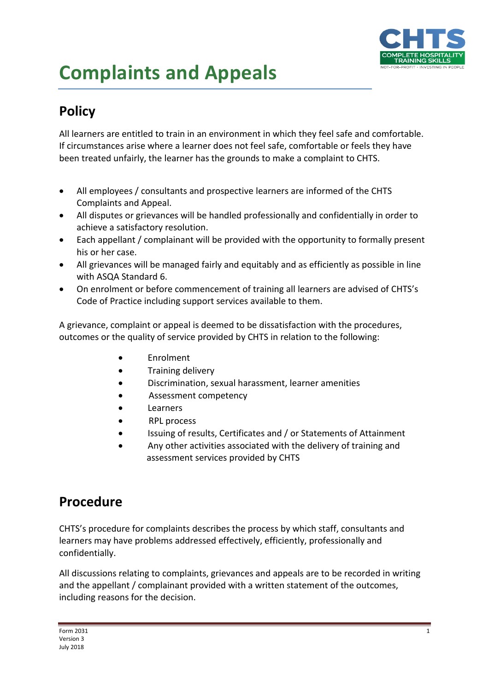

## **Complaints and Appeals**

## **Policy**

All learners are entitled to train in an environment in which they feel safe and comfortable. If circumstances arise where a learner does not feel safe, comfortable or feels they have been treated unfairly, the learner has the grounds to make a complaint to CHTS.

- All employees / consultants and prospective learners are informed of the CHTS Complaints and Appeal.
- All disputes or grievances will be handled professionally and confidentially in order to achieve a satisfactory resolution.
- Each appellant / complainant will be provided with the opportunity to formally present his or her case.
- All grievances will be managed fairly and equitably and as efficiently as possible in line with ASQA Standard 6.
- On enrolment or before commencement of training all learners are advised of CHTS's Code of Practice including support services available to them.

A grievance, complaint or appeal is deemed to be dissatisfaction with the procedures, outcomes or the quality of service provided by CHTS in relation to the following:

- Enrolment
- Training delivery
- Discrimination, sexual harassment, learner amenities
- Assessment competency
- Learners
- RPL process
- Issuing of results, Certificates and / or Statements of Attainment
- Any other activities associated with the delivery of training and assessment services provided by CHTS

## **Procedure**

CHTS's procedure for complaints describes the process by which staff, consultants and learners may have problems addressed effectively, efficiently, professionally and confidentially.

All discussions relating to complaints, grievances and appeals are to be recorded in writing and the appellant / complainant provided with a written statement of the outcomes, including reasons for the decision.